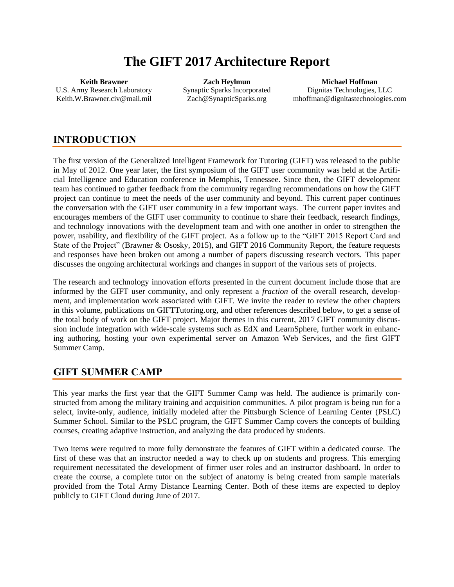# **The GIFT 2017 Architecture Report**

**Keith Brawner** U.S. Army Research Laboratory [Keith.W.Brawner.civ@mail.mil](mailto:Keith.W.Brawner.civ@mail.mil)

**Zach Heylmun** Synaptic Sparks Incorporated [Zach@SynapticSparks.org](mailto:Zach@SynapticSparks.org)

**Michael Hoffman** Dignitas Technologies, LLC mhoffman@dignitastechnologies.com

# **INTRODUCTION**

The first version of the Generalized Intelligent Framework for Tutoring (GIFT) was released to the public in May of 2012. One year later, the first symposium of the GIFT user community was held at the Artificial Intelligence and Education conference in Memphis, Tennessee. Since then, the GIFT development team has continued to gather feedback from the community regarding recommendations on how the GIFT project can continue to meet the needs of the user community and beyond. This current paper continues the conversation with the GIFT user community in a few important ways. The current paper invites and encourages members of the GIFT user community to continue to share their feedback, research findings, and technology innovations with the development team and with one another in order to strengthen the power, usability, and flexibility of the GIFT project. As a follow up to the "GIFT 2015 Report Card and State of the Project" [\(Brawner & Ososky, 2015\)](#page-6-0), and GIFT 2016 Community Report, the feature requests and responses have been broken out among a number of papers discussing research vectors. This paper discusses the ongoing architectural workings and changes in support of the various sets of projects.

The research and technology innovation efforts presented in the current document include those that are informed by the GIFT user community, and only represent a *fraction* of the overall research, development, and implementation work associated with GIFT. We invite the reader to review the other chapters in this volume, publications on GIFTTutoring.org, and other references described below, to get a sense of the total body of work on the GIFT project. Major themes in this current, 2017 GIFT community discussion include integration with wide-scale systems such as EdX and LearnSphere, further work in enhancing authoring, hosting your own experimental server on Amazon Web Services, and the first GIFT Summer Camp.

# **GIFT SUMMER CAMP**

This year marks the first year that the GIFT Summer Camp was held. The audience is primarily constructed from among the military training and acquisition communities. A pilot program is being run for a select, invite-only, audience, initially modeled after the Pittsburgh Science of Learning Center (PSLC) Summer School. Similar to the PSLC program, the GIFT Summer Camp covers the concepts of building courses, creating adaptive instruction, and analyzing the data produced by students.

Two items were required to more fully demonstrate the features of GIFT within a dedicated course. The first of these was that an instructor needed a way to check up on students and progress. This emerging requirement necessitated the development of firmer user roles and an instructor dashboard. In order to create the course, a complete tutor on the subject of anatomy is being created from sample materials provided from the Total Army Distance Learning Center. Both of these items are expected to deploy publicly to GIFT Cloud during June of 2017.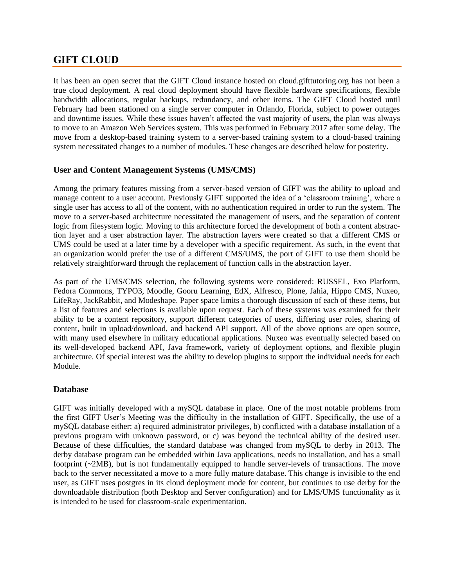### **GIFT CLOUD**

It has been an open secret that the GIFT Cloud instance hosted on cloud.gifttutoring.org has not been a true cloud deployment. A real cloud deployment should have flexible hardware specifications, flexible bandwidth allocations, regular backups, redundancy, and other items. The GIFT Cloud hosted until February had been stationed on a single server computer in Orlando, Florida, subject to power outages and downtime issues. While these issues haven't affected the vast majority of users, the plan was always to move to an Amazon Web Services system. This was performed in February 2017 after some delay. The move from a desktop-based training system to a server-based training system to a cloud-based training system necessitated changes to a number of modules. These changes are described below for posterity.

#### **User and Content Management Systems (UMS/CMS)**

Among the primary features missing from a server-based version of GIFT was the ability to upload and manage content to a user account. Previously GIFT supported the idea of a 'classroom training', where a single user has access to all of the content, with no authentication required in order to run the system. The move to a server-based architecture necessitated the management of users, and the separation of content logic from filesystem logic. Moving to this architecture forced the development of both a content abstraction layer and a user abstraction layer. The abstraction layers were created so that a different CMS or UMS could be used at a later time by a developer with a specific requirement. As such, in the event that an organization would prefer the use of a different CMS/UMS, the port of GIFT to use them should be relatively straightforward through the replacement of function calls in the abstraction layer.

As part of the UMS/CMS selection, the following systems were considered: RUSSEL, Exo Platform, Fedora Commons, TYPO3, Moodle, Gooru Learning, EdX, Alfresco, Plone, Jahia, Hippo CMS, Nuxeo, LifeRay, JackRabbit, and Modeshape. Paper space limits a thorough discussion of each of these items, but a list of features and selections is available upon request. Each of these systems was examined for their ability to be a content repository, support different categories of users, differing user roles, sharing of content, built in upload/download, and backend API support. All of the above options are open source, with many used elsewhere in military educational applications. Nuxeo was eventually selected based on its well-developed backend API, Java framework, variety of deployment options, and flexible plugin architecture. Of special interest was the ability to develop plugins to support the individual needs for each Module.

#### **Database**

GIFT was initially developed with a mySQL database in place. One of the most notable problems from the first GIFT User's Meeting was the difficulty in the installation of GIFT. Specifically, the use of a mySQL database either: a) required administrator privileges, b) conflicted with a database installation of a previous program with unknown password, or c) was beyond the technical ability of the desired user. Because of these difficulties, the standard database was changed from mySQL to derby in 2013. The derby database program can be embedded within Java applications, needs no installation, and has a small footprint (~2MB), but is not fundamentally equipped to handle server-levels of transactions. The move back to the server necessitated a move to a more fully mature database. This change is invisible to the end user, as GIFT uses postgres in its cloud deployment mode for content, but continues to use derby for the downloadable distribution (both Desktop and Server configuration) and for LMS/UMS functionality as it is intended to be used for classroom-scale experimentation.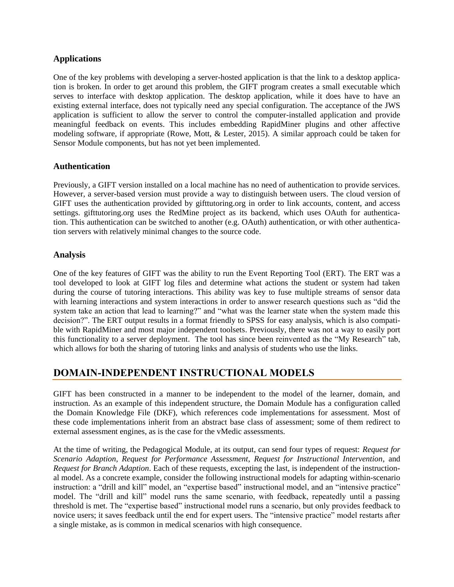#### **Applications**

One of the key problems with developing a server-hosted application is that the link to a desktop application is broken. In order to get around this problem, the GIFT program creates a small executable which serves to interface with desktop application. The desktop application, while it does have to have an existing external interface, does not typically need any special configuration. The acceptance of the JWS application is sufficient to allow the server to control the computer-installed application and provide meaningful feedback on events. This includes embedding RapidMiner plugins and other affective modeling software, if appropriate [\(Rowe, Mott, & Lester, 2015\)](#page-6-1). A similar approach could be taken for Sensor Module components, but has not yet been implemented.

#### **Authentication**

Previously, a GIFT version installed on a local machine has no need of authentication to provide services. However, a server-based version must provide a way to distinguish between users. The cloud version of GIFT uses the authentication provided by gifttutoring.org in order to link accounts, content, and access settings. gifttutoring.org uses the RedMine project as its backend, which uses OAuth for authentication. This authentication can be switched to another (e.g. OAuth) authentication, or with other authentication servers with relatively minimal changes to the source code.

#### **Analysis**

One of the key features of GIFT was the ability to run the Event Reporting Tool (ERT). The ERT was a tool developed to look at GIFT log files and determine what actions the student or system had taken during the course of tutoring interactions. This ability was key to fuse multiple streams of sensor data with learning interactions and system interactions in order to answer research questions such as "did the system take an action that lead to learning?" and "what was the learner state when the system made this decision?". The ERT output results in a format friendly to SPSS for easy analysis, which is also compatible with RapidMiner and most major independent toolsets. Previously, there was not a way to easily port this functionality to a server deployment. The tool has since been reinvented as the "My Research" tab, which allows for both the sharing of tutoring links and analysis of students who use the links.

# **DOMAIN-INDEPENDENT INSTRUCTIONAL MODELS**

GIFT has been constructed in a manner to be independent to the model of the learner, domain, and instruction. As an example of this independent structure, the Domain Module has a configuration called the Domain Knowledge File (DKF), which references code implementations for assessment. Most of these code implementations inherit from an abstract base class of assessment; some of them redirect to external assessment engines, as is the case for the vMedic assessments.

At the time of writing, the Pedagogical Module, at its output, can send four types of request: *Request for Scenario Adaption*, *Request for Performance Assessment*, *Request for Instructional Intervention*, and *Request for Branch Adaption*. Each of these requests, excepting the last, is independent of the instructional model. As a concrete example, consider the following instructional models for adapting within-scenario instruction: a "drill and kill" model, an "expertise based" instructional model, and an "intensive practice" model. The "drill and kill" model runs the same scenario, with feedback, repeatedly until a passing threshold is met. The "expertise based" instructional model runs a scenario, but only provides feedback to novice users; it saves feedback until the end for expert users. The "intensive practice" model restarts after a single mistake, as is common in medical scenarios with high consequence.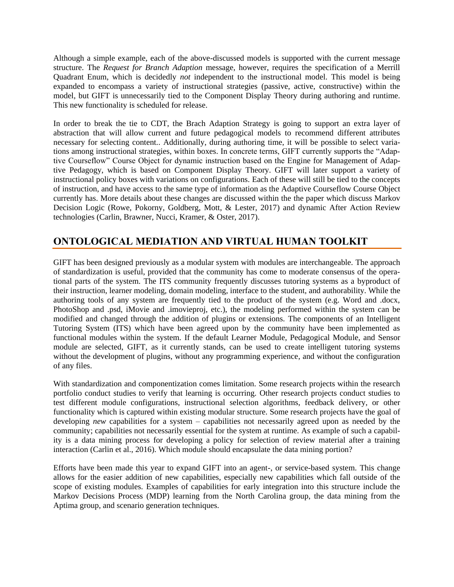Although a simple example, each of the above-discussed models is supported with the current message structure. The *Request for Branch Adaption* message, however, requires the specification of a Merrill Quadrant Enum, which is decidedly *not* independent to the instructional model. This model is being expanded to encompass a variety of instructional strategies (passive, active, constructive) within the model, but GIFT is unnecessarily tied to the Component Display Theory during authoring and runtime. This new functionality is scheduled for release.

In order to break the tie to CDT, the Brach Adaption Strategy is going to support an extra layer of abstraction that will allow current and future pedagogical models to recommend different attributes necessary for selecting content.. Additionally, during authoring time, it will be possible to select variations among instructional strategies, within boxes. In concrete terms, GIFT currently supports the "Adaptive Courseflow" Course Object for dynamic instruction based on the Engine for Management of Adaptive Pedagogy, which is based on Component Display Theory. GIFT will later support a variety of instructional policy boxes with variations on configurations. Each of these will still be tied to the concepts of instruction, and have access to the same type of information as the Adaptive Courseflow Course Object currently has. More details about these changes are discussed within the the paper which discuss Markov Decision Logic [\(Rowe, Pokorny, Goldberg, Mott, & Lester, 2017\)](#page-6-2) and dynamic After Action Review technologies [\(Carlin, Brawner, Nucci, Kramer, & Oster, 2017\)](#page-6-3).

# **ONTOLOGICAL MEDIATION AND VIRTUAL HUMAN TOOLKIT**

GIFT has been designed previously as a modular system with modules are interchangeable. The approach of standardization is useful, provided that the community has come to moderate consensus of the operational parts of the system. The ITS community frequently discusses tutoring systems as a byproduct of their instruction, learner modeling, domain modeling, interface to the student, and authorability. While the authoring tools of any system are frequently tied to the product of the system (e.g. Word and .docx, PhotoShop and .psd, iMovie and .imovieproj, etc.), the modeling performed within the system can be modified and changed through the addition of plugins or extensions. The components of an Intelligent Tutoring System (ITS) which have been agreed upon by the community have been implemented as functional modules within the system. If the default Learner Module, Pedagogical Module, and Sensor module are selected, GIFT, as it currently stands, can be used to create intelligent tutoring systems without the development of plugins, without any programming experience, and without the configuration of any files.

With standardization and componentization comes limitation. Some research projects within the research portfolio conduct studies to verify that learning is occurring. Other research projects conduct studies to test different module configurations, instructional selection algorithms, feedback delivery, or other functionality which is captured within existing modular structure. Some research projects have the goal of developing *new* capabilities for a system – capabilities not necessarily agreed upon as needed by the community; capabilities not necessarily essential for the system at runtime. As example of such a capability is a data mining process for developing a policy for selection of review material after a training interaction [\(Carlin et al., 2016\)](#page-6-4). Which module should encapsulate the data mining portion?

Efforts have been made this year to expand GIFT into an agent-, or service-based system. This change allows for the easier addition of new capabilities, especially new capabilities which fall outside of the scope of existing modules. Examples of capabilities for early integration into this structure include the Markov Decisions Process (MDP) learning from the North Carolina group, the data mining from the Aptima group, and scenario generation techniques.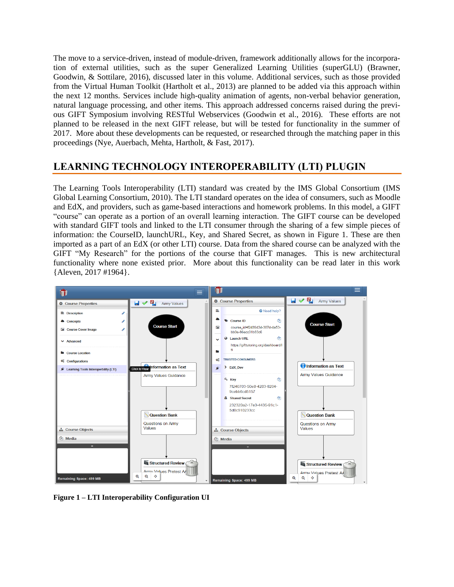The move to a service-driven, instead of module-driven, framework additionally allows for the incorporation of external utilities, such as the super Generalized Learning Utilities (superGLU) [\(Brawner,](#page-6-5)  [Goodwin, & Sottilare, 2016\)](#page-6-5), discussed later in this volume. Additional services, such as those provided from the Virtual Human Toolkit [\(Hartholt et al., 2013\)](#page-6-6) are planned to be added via this approach within the next 12 months. Services include high-quality animation of agents, non-verbal behavior generation, natural language processing, and other items. This approach addressed concerns raised during the previous GIFT Symposium involving RESTful Webservices [\(Goodwin et al., 2016\)](#page-6-7). These efforts are not planned to be released in the next GIFT release, but will be tested for functionality in the summer of 2017. More about these developments can be requested, or researched through the matching paper in this proceedings [\(Nye, Auerbach, Mehta, Hartholt, & Fast, 2017\)](#page-6-8).

# **LEARNING TECHNOLOGY INTEROPERABILITY (LTI) PLUGIN**

The Learning Tools Interoperability (LTI) standard was created by the IMS Global Consortium [\(IMS](#page-6-9)  [Global Learning Consortium, 2010\)](#page-6-9). The LTI standard operates on the idea of consumers, such as Moodle and EdX, and providers, such as game-based interactions and homework problems. In this model, a GIFT "course" can operate as a portion of an overall learning interaction. The GIFT course can be developed with standard GIFT tools and linked to the LTI consumer through the sharing of a few simple pieces of information: the CourseID, launchURL, Key, and Shared Secret, as shown in [Figure 1.](#page-4-0) These are then imported as a part of an EdX (or other LTI) course. Data from the shared course can be analyzed with the GIFT "My Research" for the portions of the course that GIFT manages. This is new architectural functionality where none existed prior. More about this functionality can be read later in this work {Aleven, 2017 #1964}.



<span id="page-4-0"></span>**Figure 1 – LTI Interoperability Configuration UI**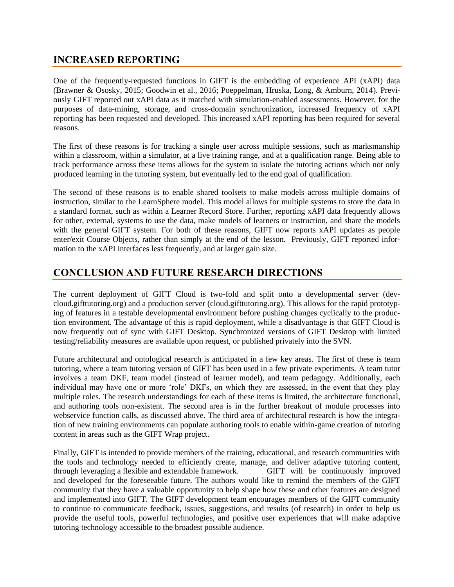# **INCREASED REPORTING**

One of the frequently-requested functions in GIFT is the embedding of experience API (xAPI) data [\(Brawner & Ososky, 2015;](#page-6-0) [Goodwin et al., 2016;](#page-6-7) [Poeppelman, Hruska, Long, & Amburn, 2014\)](#page-6-10). Previously GIFT reported out xAPI data as it matched with simulation-enabled assessments. However, for the purposes of data-mining, storage, and cross-domain synchronization, increased frequency of xAPI reporting has been requested and developed. This increased xAPI reporting has been required for several reasons.

The first of these reasons is for tracking a single user across multiple sessions, such as marksmanship within a classroom, within a simulator, at a live training range, and at a qualification range. Being able to track performance across these items allows for the system to isolate the tutoring actions which not only produced learning in the tutoring system, but eventually led to the end goal of qualification.

The second of these reasons is to enable shared toolsets to make models across multiple domains of instruction, similar to the LearnSphere model. This model allows for multiple systems to store the data in a standard format, such as within a Learner Record Store. Further, reporting xAPI data frequently allows for other, external, systems to use the data, make models of learners or instruction, and share the models with the general GIFT system. For both of these reasons, GIFT now reports xAPI updates as people enter/exit Course Objects, rather than simply at the end of the lesson. Previously, GIFT reported information to the xAPI interfaces less frequently, and at larger gain size.

# **CONCLUSION AND FUTURE RESEARCH DIRECTIONS**

The current deployment of GIFT Cloud is two-fold and split onto a developmental server (devcloud.gifttutoring.org) and a production server (cloud.gifttutoring.org). This allows for the rapid prototyping of features in a testable developmental environment before pushing changes cyclically to the production environment. The advantage of this is rapid deployment, while a disadvantage is that GIFT Cloud is now frequently out of sync with GIFT Desktop. Synchronized versions of GIFT Desktop with limited testing/reliability measures are available upon request, or published privately into the SVN.

Future architectural and ontological research is anticipated in a few key areas. The first of these is team tutoring, where a team tutoring version of GIFT has been used in a few private experiments. A team tutor involves a team DKF, team model (instead of learner model), and team pedagogy. Additionally, each individual may have one or more 'role' DKFs, on which they are assessed, in the event that they play multiple roles. The research understandings for each of these items is limited, the architecture functional, and authoring tools non-existent. The second area is in the further breakout of module processes into webservice function calls, as discussed above. The third area of architectural research is how the integration of new training environments can populate authoring tools to enable within-game creation of tutoring content in areas such as the GIFT Wrap project.

Finally, GIFT is intended to provide members of the training, educational, and research communities with the tools and technology needed to efficiently create, manage, and deliver adaptive tutoring content, through leveraging a flexible and extendable framework. GIFT will be continuously improved and developed for the foreseeable future. The authors would like to remind the members of the GIFT community that they have a valuable opportunity to help shape how these and other features are designed and implemented into GIFT. The GIFT development team encourages members of the GIFT community to continue to communicate feedback, issues, suggestions, and results (of research) in order to help us provide the useful tools, powerful technologies, and positive user experiences that will make adaptive tutoring technology accessible to the broadest possible audience.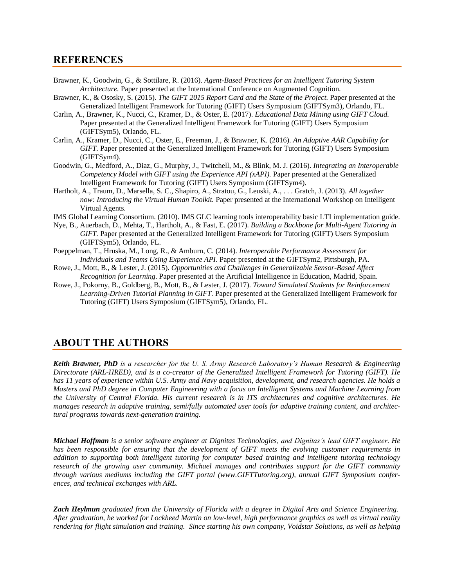#### **REFERENCES**

- <span id="page-6-5"></span>Brawner, K., Goodwin, G., & Sottilare, R. (2016). *Agent-Based Practices for an Intelligent Tutoring System Architecture.* Paper presented at the International Conference on Augmented Cognition.
- <span id="page-6-0"></span>Brawner, K., & Ososky, S. (2015). *The GIFT 2015 Report Card and the State of the Project.* Paper presented at the Generalized Intelligent Framework for Tutoring (GIFT) Users Symposium (GIFTSym3), Orlando, FL.
- <span id="page-6-3"></span>Carlin, A., Brawner, K., Nucci, C., Kramer, D., & Oster, E. (2017). *Educational Data Mining using GIFT Cloud.* Paper presented at the Generalized Intelligent Framework for Tutoring (GIFT) Users Symposium (GIFTSym5), Orlando, FL.
- <span id="page-6-4"></span>Carlin, A., Kramer, D., Nucci, C., Oster, E., Freeman, J., & Brawner, K. (2016). *An Adaptive AAR Capability for GIFT.* Paper presented at the Generalized Intelligent Framework for Tutoring (GIFT) Users Symposium (GIFTSym4).
- <span id="page-6-7"></span>Goodwin, G., Medford, A., Diaz, G., Murphy, J., Twitchell, M., & Blink, M. J. (2016). *Integrating an Interoperable Competency Model with GIFT using the Experience API (xAPI).* Paper presented at the Generalized Intelligent Framework for Tutoring (GIFT) Users Symposium (GIFTSym4).
- <span id="page-6-6"></span>Hartholt, A., Traum, D., Marsella, S. C., Shapiro, A., Stratou, G., Leuski, A., . . . Gratch, J. (2013). *All together now: Introducing the Virtual Human Toolkit.* Paper presented at the International Workshop on Intelligent Virtual Agents.
- <span id="page-6-9"></span>IMS Global Learning Consortium. (2010). IMS GLC learning tools interoperability basic LTI implementation guide.
- <span id="page-6-8"></span>Nye, B., Auerbach, D., Mehta, T., Hartholt, A., & Fast, E. (2017). *Building a Backbone for Multi-Agent Tutoring in GIFT.* Paper presented at the Generalized Intelligent Framework for Tutoring (GIFT) Users Symposium (GIFTSym5), Orlando, FL.
- <span id="page-6-10"></span>Poeppelman, T., Hruska, M., Long, R., & Amburn, C. (2014). *Interoperable Performance Assessment for Individuals and Teams Using Experience API*. Paper presented at the GIFTSym2, Pittsburgh, PA.
- <span id="page-6-1"></span>Rowe, J., Mott, B., & Lester, J. (2015). *Opportunities and Challenges in Generalizable Sensor-Based Affect Recognition for Learning*. Paper presented at the Artificial Intelligence in Education, Madrid, Spain.
- <span id="page-6-2"></span>Rowe, J., Pokorny, B., Goldberg, B., Mott, B., & Lester, J. (2017). *Toward Simulated Students for Reinforcement Learning-Driven Tutorial Planning in GIFT.* Paper presented at the Generalized Intelligent Framework for Tutoring (GIFT) Users Symposium (GIFTSym5), Orlando, FL.

### **ABOUT THE AUTHORS**

*Keith Brawner, PhD is a researcher for the U. S. Army Research Laboratory's Human Research & Engineering Directorate (ARL-HRED), and is a co-creator of the Generalized Intelligent Framework for Tutoring (GIFT). He has 11 years of experience within U.S. Army and Navy acquisition, development, and research agencies. He holds a Masters and PhD degree in Computer Engineering with a focus on Intelligent Systems and Machine Learning from the University of Central Florida. His current research is in ITS architectures and cognitive architectures. He manages research in adaptive training, semi/fully automated user tools for adaptive training content, and architectural programs towards next-generation training.*

*Michael Hoffman is a senior software engineer at Dignitas Technologies, and Dignitas's lead GIFT engineer. He has been responsible for ensuring that the development of GIFT meets the evolving customer requirements in addition to supporting both intelligent tutoring for computer based training and intelligent tutoring technology research of the growing user community. Michael manages and contributes support for the GIFT community through various mediums including the GIFT portal (www.GIFTTutoring.org), annual GIFT Symposium conferences, and technical exchanges with ARL.*

*Zach Heylmun graduated from the University of Florida with a degree in Digital Arts and Science Engineering. After graduation, he worked for Lockheed Martin on low-level, high performance graphics as well as virtual reality rendering for flight simulation and training. Since starting his own company, Voidstar Solutions, as well as helping*